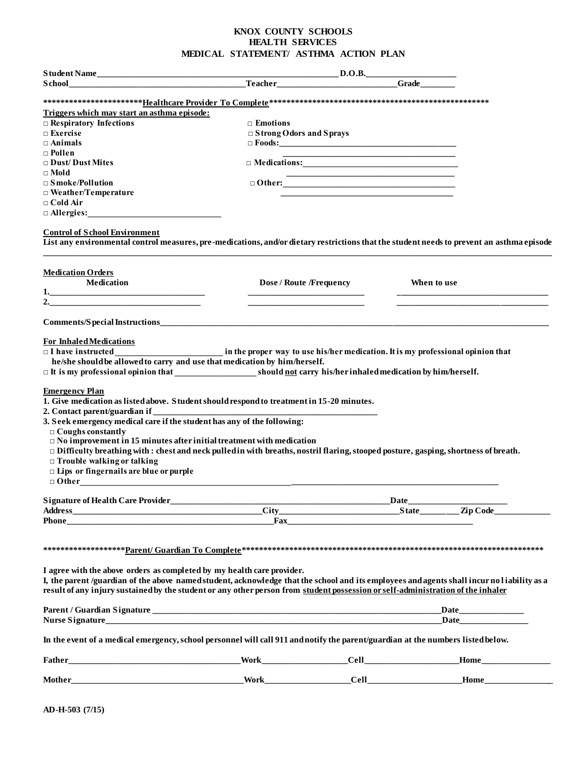## **KNOX COUNTY SCHOOLS HEALTH SERVICES MEDICAL STATEMENT/ ASTHMA ACTION PLAN**

| <b>Student Name</b>                                                                                                                                                                                                                                                                                                                                                                                                                                                                                                                                                                                                                                                                                                                                                                | $\boxed{\text{D.O.B.}}$          |                                                                                                                        |                         |
|------------------------------------------------------------------------------------------------------------------------------------------------------------------------------------------------------------------------------------------------------------------------------------------------------------------------------------------------------------------------------------------------------------------------------------------------------------------------------------------------------------------------------------------------------------------------------------------------------------------------------------------------------------------------------------------------------------------------------------------------------------------------------------|----------------------------------|------------------------------------------------------------------------------------------------------------------------|-------------------------|
| School <b>Example 2018</b> Cracker <b>Cracker Cracker Cracker Cracker Cracker Cracker Cracker Cracker Cracker Cracker Cracker Cracker Cracker Cracker Cracker Cracker Cracker Cracker Cracker C</b>                                                                                                                                                                                                                                                                                                                                                                                                                                                                                                                                                                                |                                  |                                                                                                                        |                         |
|                                                                                                                                                                                                                                                                                                                                                                                                                                                                                                                                                                                                                                                                                                                                                                                    |                                  |                                                                                                                        |                         |
| Triggers which may start an asthma episode:                                                                                                                                                                                                                                                                                                                                                                                                                                                                                                                                                                                                                                                                                                                                        |                                  |                                                                                                                        |                         |
| $\Box$ Respiratory Infections                                                                                                                                                                                                                                                                                                                                                                                                                                                                                                                                                                                                                                                                                                                                                      | $\Box$ Emotions                  |                                                                                                                        |                         |
| $\Box$ Exercise                                                                                                                                                                                                                                                                                                                                                                                                                                                                                                                                                                                                                                                                                                                                                                    | $\Box$ S trong Odors and S prays |                                                                                                                        |                         |
| $\Box$ Animals                                                                                                                                                                                                                                                                                                                                                                                                                                                                                                                                                                                                                                                                                                                                                                     |                                  | $\Box$ Foods:                                                                                                          |                         |
| $\Box$ Pollen                                                                                                                                                                                                                                                                                                                                                                                                                                                                                                                                                                                                                                                                                                                                                                      |                                  | <u> 1989 - Johann Stein, marwolaethau a bhann an t-Alban ann an t-Alban an t-Alban ann an t-Alban an t-Alban ann a</u> |                         |
| $\Box$ Dust/ Dust Mites                                                                                                                                                                                                                                                                                                                                                                                                                                                                                                                                                                                                                                                                                                                                                            |                                  |                                                                                                                        |                         |
| $\Box$ Mold                                                                                                                                                                                                                                                                                                                                                                                                                                                                                                                                                                                                                                                                                                                                                                        |                                  |                                                                                                                        |                         |
| $\square$ S moke/Pollution                                                                                                                                                                                                                                                                                                                                                                                                                                                                                                                                                                                                                                                                                                                                                         |                                  |                                                                                                                        |                         |
| $\Box$ Weather/Temperature                                                                                                                                                                                                                                                                                                                                                                                                                                                                                                                                                                                                                                                                                                                                                         |                                  |                                                                                                                        |                         |
| $\Box$ Cold Air                                                                                                                                                                                                                                                                                                                                                                                                                                                                                                                                                                                                                                                                                                                                                                    |                                  |                                                                                                                        |                         |
| $\Box$ Allergies:                                                                                                                                                                                                                                                                                                                                                                                                                                                                                                                                                                                                                                                                                                                                                                  |                                  |                                                                                                                        |                         |
| <b>Control of School Environment</b><br>List any environmental control measures, pre-medications, and/or dietary restrictions that the student needs to prevent an asthma episode                                                                                                                                                                                                                                                                                                                                                                                                                                                                                                                                                                                                  |                                  |                                                                                                                        |                         |
| <b>Medication Orders</b>                                                                                                                                                                                                                                                                                                                                                                                                                                                                                                                                                                                                                                                                                                                                                           |                                  |                                                                                                                        |                         |
| Medication                                                                                                                                                                                                                                                                                                                                                                                                                                                                                                                                                                                                                                                                                                                                                                         | Dose / Route /Frequency          | When to use                                                                                                            |                         |
| 1.                                                                                                                                                                                                                                                                                                                                                                                                                                                                                                                                                                                                                                                                                                                                                                                 |                                  |                                                                                                                        |                         |
|                                                                                                                                                                                                                                                                                                                                                                                                                                                                                                                                                                                                                                                                                                                                                                                    |                                  |                                                                                                                        |                         |
|                                                                                                                                                                                                                                                                                                                                                                                                                                                                                                                                                                                                                                                                                                                                                                                    |                                  |                                                                                                                        |                         |
| $\Box$ I have instructed $\Box$ in the proper way to use his/her medication. It is my professional opinion that<br>he/she should be allowed to carry and use that medication by him/herself.<br><b>Emergency Plan</b><br>1. Give medication as listed above. Student should respond to treatment in 15-20 minutes.<br>2. Contact parent/guardian if<br>$\Box$ Coughs constantly<br>$\Box$ No improvement in 15 minutes after initial treatment with medication<br>$\Box$ Difficulty breathing with : chest and neck pulled in with breaths, nostril flaring, stooped posture, gasping, shortness of breath.<br>$\Box$ Trouble walking or talking<br>$\Box$ Lips or fingernails are blue or purple<br>Signature of Health Care Provider<br><u>Signature of Health Care Provider</u> |                                  |                                                                                                                        |                         |
|                                                                                                                                                                                                                                                                                                                                                                                                                                                                                                                                                                                                                                                                                                                                                                                    |                                  |                                                                                                                        |                         |
| Phone <b>Example 2</b> Phone <b>Example 2</b> Phone <b>Example 2</b> Phone <b>Example 2</b> Phone <b>Example 2</b> Phone <b>Example 2</b> Phone <b>Example 2</b> Phone <b>Example 2</b> Phone <b>Example 2</b> Phone <b>Example 2</b> Phone <b>Example 2</b> Phone <b>Example 2</b> Phone                                                                                                                                                                                                                                                                                                                                                                                                                                                                                          |                                  |                                                                                                                        |                         |
| I agree with the above orders as completed by my health care provider.                                                                                                                                                                                                                                                                                                                                                                                                                                                                                                                                                                                                                                                                                                             |                                  |                                                                                                                        |                         |
| I, the parent /guardian of the above named student, acknowledge that the school and its employees and agents shall incur no liability as a<br>result of any injury sustained by the student or any other person from student possession or self-administration of the inhaler                                                                                                                                                                                                                                                                                                                                                                                                                                                                                                      |                                  |                                                                                                                        |                         |
|                                                                                                                                                                                                                                                                                                                                                                                                                                                                                                                                                                                                                                                                                                                                                                                    |                                  |                                                                                                                        | Date <u>and</u><br>Date |
| In the event of a medical emergency, school personnel will call 911 and notify the parent/guardian at the numbers listed below.                                                                                                                                                                                                                                                                                                                                                                                                                                                                                                                                                                                                                                                    |                                  |                                                                                                                        |                         |
|                                                                                                                                                                                                                                                                                                                                                                                                                                                                                                                                                                                                                                                                                                                                                                                    |                                  |                                                                                                                        |                         |
|                                                                                                                                                                                                                                                                                                                                                                                                                                                                                                                                                                                                                                                                                                                                                                                    |                                  |                                                                                                                        |                         |